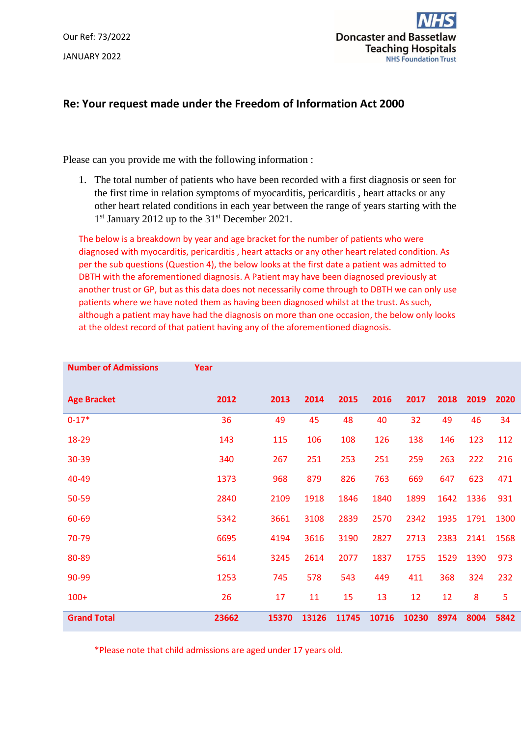Our Ref: 73/2022 JANUARY 2022



## **Re: Your request made under the Freedom of Information Act 2000**

Please can you provide me with the following information :

1. The total number of patients who have been recorded with a first diagnosis or seen for the first time in relation symptoms of myocarditis, pericarditis , heart attacks or any other heart related conditions in each year between the range of years starting with the 1<sup>st</sup> January 2012 up to the 31<sup>st</sup> December 2021.

The below is a breakdown by year and age bracket for the number of patients who were diagnosed with myocarditis, pericarditis , heart attacks or any other heart related condition. As per the sub questions (Question 4), the below looks at the first date a patient was admitted to DBTH with the aforementioned diagnosis. A Patient may have been diagnosed previously at another trust or GP, but as this data does not necessarily come through to DBTH we can only use patients where we have noted them as having been diagnosed whilst at the trust. As such, although a patient may have had the diagnosis on more than one occasion, the below only looks at the oldest record of that patient having any of the aforementioned diagnosis.

| <b>Number of Admissions</b> | Year  |       |       |       |       |       |      |      |      |
|-----------------------------|-------|-------|-------|-------|-------|-------|------|------|------|
| <b>Age Bracket</b>          | 2012  | 2013  | 2014  | 2015  | 2016  | 2017  | 2018 | 2019 | 2020 |
| $0-17*$                     | 36    | 49    | 45    | 48    | 40    | 32    | 49   | 46   | 34   |
| 18-29                       | 143   | 115   | 106   | 108   | 126   | 138   | 146  | 123  | 112  |
| 30-39                       | 340   | 267   | 251   | 253   | 251   | 259   | 263  | 222  | 216  |
| 40-49                       | 1373  | 968   | 879   | 826   | 763   | 669   | 647  | 623  | 471  |
| 50-59                       | 2840  | 2109  | 1918  | 1846  | 1840  | 1899  | 1642 | 1336 | 931  |
| 60-69                       | 5342  | 3661  | 3108  | 2839  | 2570  | 2342  | 1935 | 1791 | 1300 |
| 70-79                       | 6695  | 4194  | 3616  | 3190  | 2827  | 2713  | 2383 | 2141 | 1568 |
| 80-89                       | 5614  | 3245  | 2614  | 2077  | 1837  | 1755  | 1529 | 1390 | 973  |
| 90-99                       | 1253  | 745   | 578   | 543   | 449   | 411   | 368  | 324  | 232  |
| $100+$                      | 26    | 17    | 11    | 15    | 13    | 12    | 12   | 8    | 5    |
| <b>Grand Total</b>          | 23662 | 15370 | 13126 | 11745 | 10716 | 10230 | 8974 | 8004 | 5842 |

\*Please note that child admissions are aged under 17 years old.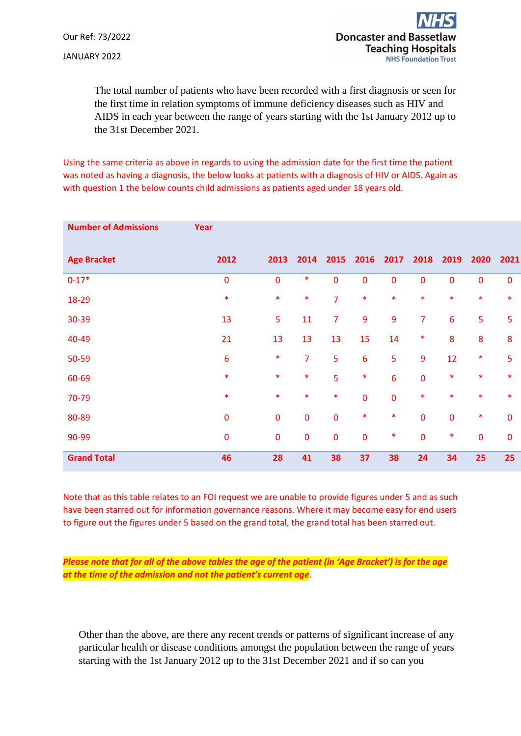The total number of patients who have been recorded with a first diagnosis or seen for the first time in relation symptoms of immune deficiency diseases such as HIV and AIDS in each year between the range of years starting with the 1st January 2012 up to the 31st December 2021.

Using the same criteria as above in regards to using the admission date for the first time the patient was noted as having a diagnosis, the below looks at patients with a diagnosis of HIV or AIDS. Again as with question 1 the below counts child admissions as patients aged under 18 years old.

| <b>Number of Admissions</b> | Year      |             |                |                |                |             |                  |             |             |             |
|-----------------------------|-----------|-------------|----------------|----------------|----------------|-------------|------------------|-------------|-------------|-------------|
| <b>Age Bracket</b>          | 2012      | 2013        | 2014           | 2015           | 2016           | 2017        | 2018             | 2019        | 2020        | 2021        |
| $0 - 17*$                   | $\pmb{0}$ | $\pmb{0}$   | $\ast$         | $\mathbf 0$    | $\pmb{0}$      | 0           | $\pmb{0}$        | $\mathbf 0$ | $\pmb{0}$   | $\pmb{0}$   |
| 18-29                       | $\ast$    | $\ast$      | $\ast$         | $\overline{7}$ | $\ast$         | $\ast$      | $\ast$           | $\ast$      | $\ast$      | $\ast$      |
| 30-39                       | 13        | 5           | 11             | $\overline{7}$ | 9              | 9           | $\overline{7}$   | 6           | 5           | 5           |
| 40-49                       | 21        | 13          | 13             | 13             | 15             | 14          | $\ast$           | 8           | 8           | 8           |
| 50-59                       | 6         | $\ast$      | $\overline{7}$ | 5              | $6\phantom{1}$ | 5           | $\boldsymbol{9}$ | 12          | *           | 5           |
| 60-69                       | $\ast$    | $\ast$      | $\ast$         | 5              | $\ast$         | 6           | $\pmb{0}$        | $\ast$      | $\ast$      | $\ast$      |
| 70-79                       | $\ast$    | $\ast$      | $\ast$         | $\ast$         | $\mathbf 0$    | $\mathbf 0$ | $\ast$           | $\ast$      | $\ast$      | $\ast$      |
| 80-89                       | $\bf{0}$  | $\mathbf 0$ | $\mathbf 0$    | $\mathbf 0$    | $\ast$         | $\ast$      | $\pmb{0}$        | $\mathbf 0$ | *           | 0           |
| 90-99                       | $\bf{0}$  | $\pmb{0}$   | $\mathbf 0$    | $\mathbf 0$    | $\pmb{0}$      | $\ast$      | $\pmb{0}$        | $\ast$      | $\mathbf 0$ | $\mathbf 0$ |
| <b>Grand Total</b>          | 46        | 28          | 41             | 38             | 37             | 38          | 24               | 34          | 25          | 25          |

Note that as this table relates to an FOI request we are unable to provide figures under 5 and as such have been starred out for information governance reasons. Where it may become easy for end users to figure out the figures under 5 based on the grand total, the grand total has been starred out.

*Please note that for all of the above tables the age of the patient (in 'Age Bracket') is for the age at the time of the admission and not the patient's current age*.

Other than the above, are there any recent trends or patterns of significant increase of any particular health or disease conditions amongst the population between the range of years starting with the 1st January 2012 up to the 31st December 2021 and if so can you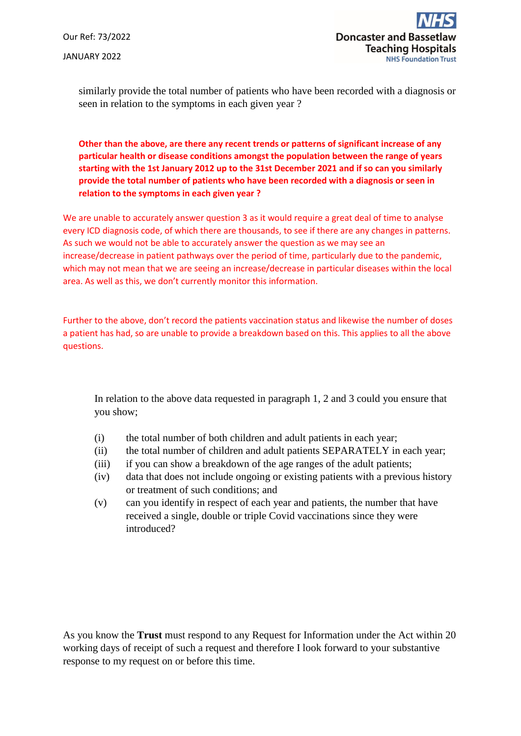Our Ref: 73/2022 JANUARY 2022

similarly provide the total number of patients who have been recorded with a diagnosis or seen in relation to the symptoms in each given year ?

**Other than the above, are there any recent trends or patterns of significant increase of any particular health or disease conditions amongst the population between the range of years starting with the 1st January 2012 up to the 31st December 2021 and if so can you similarly provide the total number of patients who have been recorded with a diagnosis or seen in relation to the symptoms in each given year ?** 

We are unable to accurately answer question 3 as it would require a great deal of time to analyse every ICD diagnosis code, of which there are thousands, to see if there are any changes in patterns. As such we would not be able to accurately answer the question as we may see an increase/decrease in patient pathways over the period of time, particularly due to the pandemic, which may not mean that we are seeing an increase/decrease in particular diseases within the local area. As well as this, we don't currently monitor this information.

Further to the above, don't record the patients vaccination status and likewise the number of doses a patient has had, so are unable to provide a breakdown based on this. This applies to all the above questions.

In relation to the above data requested in paragraph 1, 2 and 3 could you ensure that you show;

- (i) the total number of both children and adult patients in each year;
- (ii) the total number of children and adult patients SEPARATELY in each year;
- (iii) if you can show a breakdown of the age ranges of the adult patients;
- (iv) data that does not include ongoing or existing patients with a previous history or treatment of such conditions; and
- (v) can you identify in respect of each year and patients, the number that have received a single, double or triple Covid vaccinations since they were introduced?

As you know the **Trust** must respond to any Request for Information under the Act within 20 working days of receipt of such a request and therefore I look forward to your substantive response to my request on or before this time.